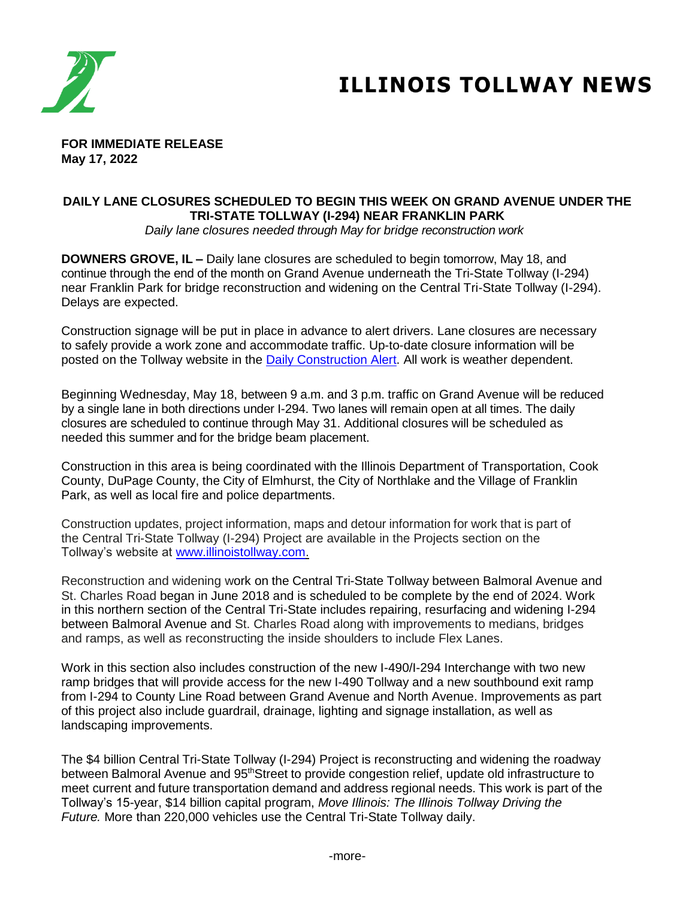

# **ILLINOIS TOLLWAY NEWS**

**FOR IMMEDIATE RELEASE May 17, 2022**

# **DAILY LANE CLOSURES SCHEDULED TO BEGIN THIS WEEK ON GRAND AVENUE UNDER THE TRI-STATE TOLLWAY (I-294) NEAR FRANKLIN PARK**

*Daily lane closures needed through May for bridge reconstruction work*

**DOWNERS GROVE, IL –** Daily lane closures are scheduled to begin tomorrow, May 18, and continue through the end of the month on Grand Avenue underneath the Tri-State Tollway (I-294) near Franklin Park for bridge reconstruction and widening on the Central Tri-State Tollway (I-294). Delays are expected.

Construction signage will be put in place in advance to alert drivers. Lane closures are necessary to safely provide a work zone and accommodate traffic. Up-to-date closure information will be posted on the Tollway website in the [Daily Construction Alert.](https://www.illinoistollway.com/media-center/construction-alerts) All work is weather dependent.

Beginning Wednesday, May 18, between 9 a.m. and 3 p.m. traffic on Grand Avenue will be reduced by a single lane in both directions under I-294. Two lanes will remain open at all times. The daily closures are scheduled to continue through May 31. Additional closures will be scheduled as needed this summer and for the bridge beam placement.

Construction in this area is being coordinated with the Illinois Department of Transportation, Cook County, DuPage County, the City of Elmhurst, the City of Northlake and the Village of Franklin Park, as well as local fire and police departments.

Construction updates, project information, maps and detour information for work that is part of the Central Tri-State Tollway (I-294) Project are available in the Projects section on the Tollway's website at [www.illinoistollway.com.](http://www.illinoistollway.com/)

Reconstruction and widening work on the Central Tri-State Tollway between Balmoral Avenue and St. Charles Road began in June 2018 and is scheduled to be complete by the end of 2024. Work in this northern section of the Central Tri-State includes repairing, resurfacing and widening I-294 between Balmoral Avenue and St. Charles Road along with improvements to medians, bridges and ramps, as well as reconstructing the inside shoulders to include Flex Lanes.

Work in this section also includes construction of the new I-490/I-294 Interchange with two new ramp bridges that will provide access for the new I-490 Tollway and a new southbound exit ramp from I-294 to County Line Road between Grand Avenue and North Avenue. Improvements as part of this project also include guardrail, drainage, lighting and signage installation, as well as landscaping improvements.

The \$4 billion Central Tri-State Tollway (I-294) Project is reconstructing and widening the roadway between Balmoral Avenue and 95<sup>th</sup>Street to provide congestion relief, update old infrastructure to meet current and future transportation demand and address regional needs. This work is part of the Tollway's 15-year, \$14 billion capital program, *Move Illinois: The Illinois Tollway Driving the Future.* More than 220,000 vehicles use the Central Tri-State Tollway daily.